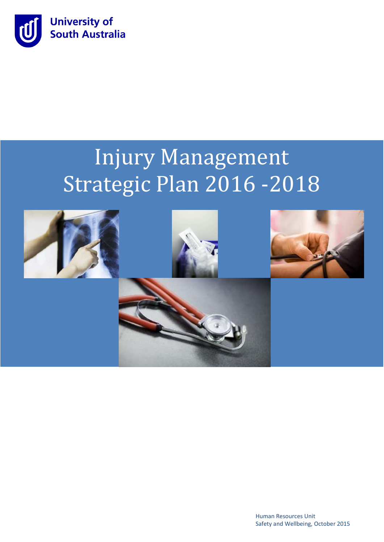

# **2016-2018** Injury Management Strategic Plan 2016 -2018



Human Resources Unit Safety and Wellbeing, October 2015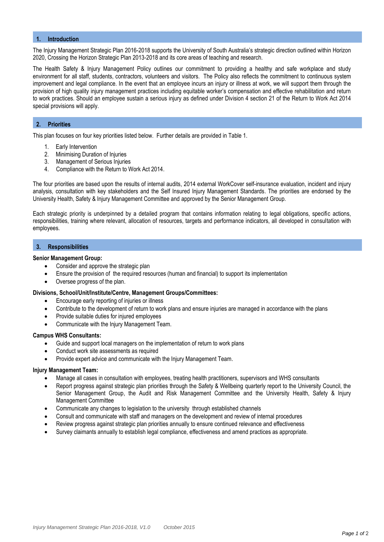## **1. Introduction**

The Injury Management Strategic Plan 2016-2018 supports the University of South Australia's strategic direction outlined within Horizon 2020, Crossing the Horizon Strategic Plan 2013-2018 and its core areas of teaching and research.

The Health Safety & Injury Management Policy outlines our commitment to providing a healthy and safe workplace and study environment for all staff, students, contractors, volunteers and visitors. The Policy also reflects the commitment to continuous system improvement and legal compliance. In the event that an employee incurs an injury or illness at work, we will support them through the provision of high quality injury management practices including equitable worker's compensation and effective rehabilitation and return to work practices. Should an employee sustain a serious injury as defined under Division 4 section 21 of the Return to Work Act 2014 special provisions will apply.

# **2. Priorities**

This plan focuses on four key priorities listed below. Further details are provided in Table 1.

- 1. Early Intervention
- 2. Minimising Duration of Injuries
- 3. Management of Serious Injuries
- 4. Compliance with the Return to Work Act 2014.

The four priorities are based upon the results of internal audits, 2014 external WorkCover self-insurance evaluation, incident and injury analysis, consultation with key stakeholders and the Self Insured Injury Management Standards. The priorities are endorsed by the University Health, Safety & Injury Management Committee and approved by the Senior Management Group.

Each strategic priority is underpinned by a detailed program that contains information relating to legal obligations, specific actions, responsibilities, training where relevant, allocation of resources, targets and performance indicators, all developed in consultation with employees.

### **3. Responsibilities**

#### **Senior Management Group:**

- Consider and approve the strategic plan
- Ensure the provision of the required resources (human and financial) to support its implementation
- Oversee progress of the plan.

#### **Divisions, School/Unit/Institute/Centre, Management Groups/Committees:**

- Encourage early reporting of injuries or illness
- Contribute to the development of return to work plans and ensure injuries are managed in accordance with the plans
- Provide suitable duties for injured employees
- Communicate with the Injury Management Team.

#### **Campus WHS Consultants:**

- Guide and support local managers on the implementation of return to work plans
- Conduct work site assessments as required
- Provide expert advice and communicate with the Injury Management Team.

# **Injury Management Team:**

- Manage all cases in consultation with employees, treating health practitioners, supervisors and WHS consultants
- Report progress against strategic plan priorities through the Safety & Wellbeing quarterly report to the University Council, the Senior Management Group, the Audit and Risk Management Committee and the University Health, Safety & Injury Management Committee
- Communicate any changes to legislation to the university through established channels
- Consult and communicate with staff and managers on the development and review of internal procedures
- Review progress against strategic plan priorities annually to ensure continued relevance and effectiveness
- Survey claimants annually to establish legal compliance, effectiveness and amend practices as appropriate.